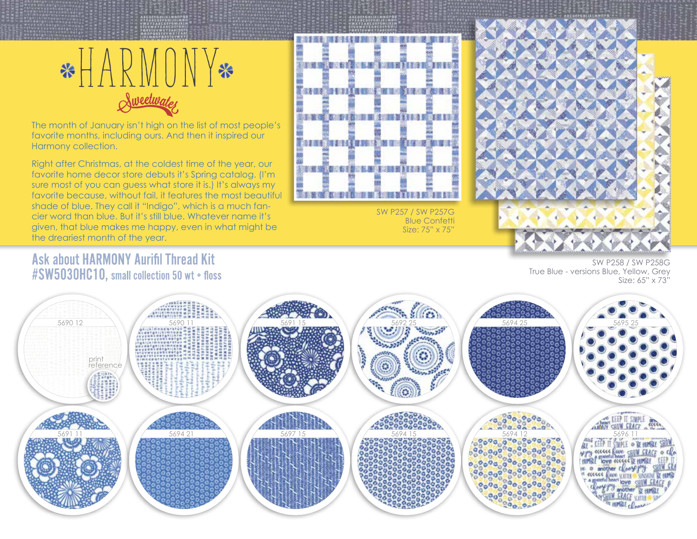

The month of January isn't high on the list of most people's favorite months, including ours. And then it inspired our Harmony collection.

Right after Christmas, at the coldest time of the year, our favorite home decor store debuts it's Spring catalog. (I'm sure most of you can guess what store it is.) It's always my favorite because, without fail, it features the most beautiful shade of blue. They call it "Indigo", which is a much fancier word than blue. But it's still blue. Whatever name it's given, that blue makes me happy, even in what might be the dreariest month of the year.



SW P257 / SW P257G Blue Confetti Size: 75" x 75"



## **Ask about HARMONY Aurifil Thread Kit** #SW5030HC10, small collection 50 wt + floss

SW P258 / SW P258G True Blue - versions Blue, Yellow, Grey Size: 65" x 73"